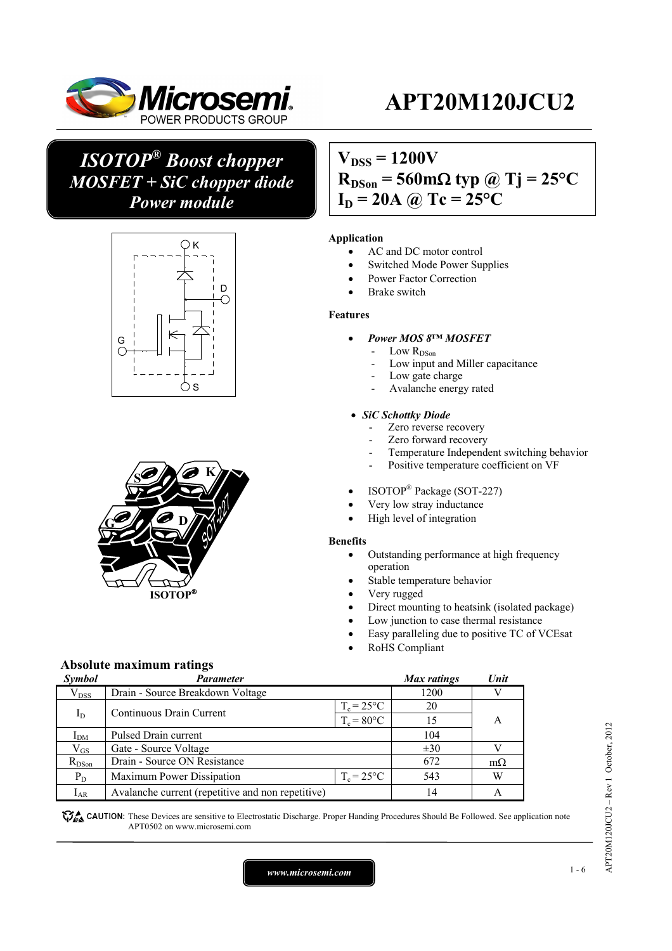

## *ISOTOP® Boost chopper MOSFET + SiC chopper diode Power module*





## $V_{DSS} = 1200V$  $R_{DSon}$  = 560 m $\Omega$  typ @ Tj = 25<sup>o</sup>C  $I_D = 20A \omega Tc = 25^{\circ}C$

### **Application**

- AC and DC motor control
- Switched Mode Power Supplies
- Power Factor Correction
- Brake switch

#### **Features**

- *Power MOS 8™ MOSFET* 
	- Low  $R_\mathrm{DSon}$
	- Low input and Miller capacitance
	- Low gate charge
	- Avalanche energy rated

#### *SiC Schottky Diode*

- Zero reverse recovery
- Zero forward recovery
- Temperature Independent switching behavior
- Positive temperature coefficient on VF
- ISOTOP® Package (SOT-227)
- Very low stray inductance
- High level of integration

#### **Benefits**

- Outstanding performance at high frequency operation
- Stable temperature behavior
- Very rugged
- Direct mounting to heatsink (isolated package)
- Low junction to case thermal resistance
- Easy paralleling due to positive TC of VCEsat
- RoHS Compliant

### **Absolute maximum ratings**

| Symbol          | <b>Parameter</b>                                  |                     | Max ratings | Unit      |
|-----------------|---------------------------------------------------|---------------------|-------------|-----------|
| $V_{DSS}$       | Drain - Source Breakdown Voltage                  |                     | 1200        |           |
|                 | Continuous Drain Current                          | $T_c = 25^{\circ}C$ | 20          |           |
| $I_D$           |                                                   | $T_c = 80$ °C       | 15          | А         |
| I <sub>DM</sub> | Pulsed Drain current                              |                     | 104         |           |
| $\rm V_{GS}$    | Gate - Source Voltage                             |                     | $\pm 30$    |           |
| $R_{DSon}$      | Drain - Source ON Resistance                      |                     | 672         | $m\Omega$ |
| $P_D$           | Maximum Power Dissipation                         | $T_c = 25^{\circ}C$ | 543         | W         |
| $I_{AR}$        | Avalanche current (repetitive and non repetitive) |                     | 14          | А         |

These Devices are sensitive to Electrostatic Discharge. Proper Handing Procedures Should Be Followed. See application note APT0502 on www.microsemi.com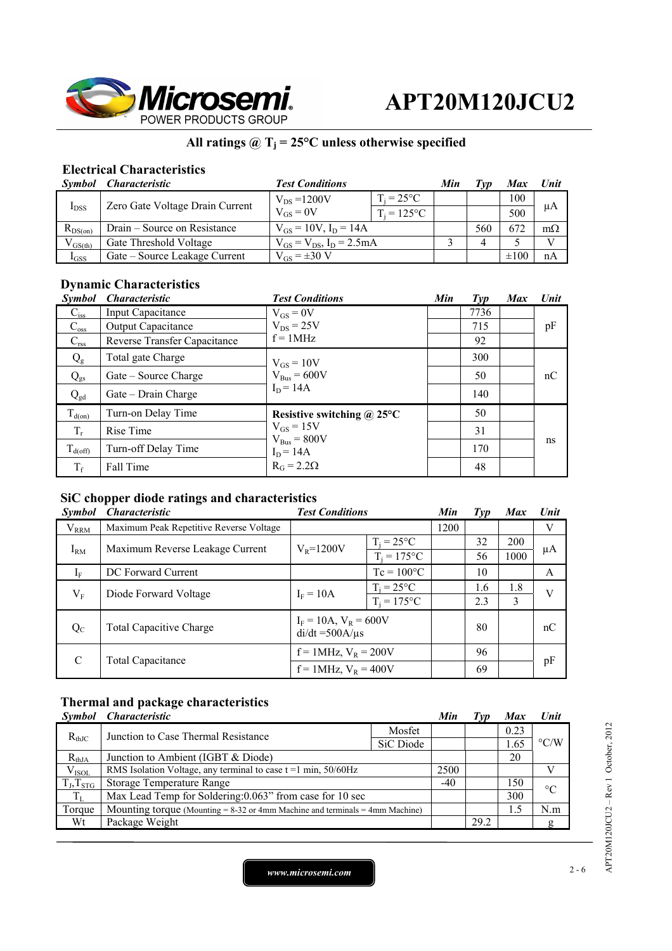

### All ratings  $@T_j = 25°C$  unless otherwise specified

### **Electrical Characteristics**

|              | Symbol Characteristic           | <b>Test Conditions</b>             |                     | Min | ľvn | Max       | Unit      |
|--------------|---------------------------------|------------------------------------|---------------------|-----|-----|-----------|-----------|
|              | Zero Gate Voltage Drain Current | $V_{DS} = 1200V$                   | $T_i = 25^{\circ}C$ |     |     | 100       |           |
| $I_{DSS}$    |                                 | $V_{GS} = 0V$                      | $T_i = 125$ °C      |     |     | 500       | μA        |
| $R_{DS(on)}$ | Drain – Source on Resistance    | $V_{GS} = 10V$ , $I_D = 14A$       |                     |     | 560 | 672       | $m\Omega$ |
| $V_{GS(th)}$ | Gate Threshold Voltage          | $V_{GS} = V_{DS}$ , $I_D = 2.5 mA$ |                     |     |     |           |           |
| $I_{GSS}$    | Gate – Source Leakage Current   | $V_{GS} = \pm 30$ V                |                     |     |     | $\pm 100$ | nA        |

## **Dynamic Characteristics**

| <b>Symbol</b>    | <i><b>Characteristic</b></i> | <b>Test Conditions</b>          | Min | Type | <b>Max</b> | Unit |
|------------------|------------------------------|---------------------------------|-----|------|------------|------|
| $C_{iss}$        | Input Capacitance            | $V_{GS} = 0V$                   |     | 7736 |            |      |
| $C_{\rm oss}$    | Output Capacitance           | $V_{DS}$ = 25V                  |     | 715  |            | pF   |
| $C_{\text{rss}}$ | Reverse Transfer Capacitance | $f = 1MHz$                      |     | 92   |            |      |
| $Q_{g}$          | Total gate Charge            | $V_{GS} = 10V$                  |     | 300  |            |      |
| $Q_{\rm gs}$     | Gate – Source Charge         | $V_{Bus} = 600V$                |     | 50   |            | nC   |
| $Q_{\text{gd}}$  | Gate – Drain Charge          | $I_D = 14A$                     |     | 140  |            |      |
| $T_{d(on)}$      | Turn-on Delay Time           | Resistive switching $@$ 25°C    |     | 50   |            |      |
| $T_r$            | Rise Time                    | $V_{GS} = 15V$                  |     | 31   |            |      |
| $T_{d(off)}$     | Turn-off Delay Time          | $V_{Bus} = 800V$<br>$I_D = 14A$ |     | 170  |            | ns   |
| $T_f$            | Fall Time                    | $R_G = 2.2\Omega$               |     | 48   |            |      |

### **SiC chopper diode ratings and characteristics**

| <b>Symbol</b> | <i>Characteristic</i>                   | <b>Test Conditions</b>                             |                     | Min  | Type | <b>Max</b> | <b>Unit</b> |
|---------------|-----------------------------------------|----------------------------------------------------|---------------------|------|------|------------|-------------|
| $V_{RRM}$     | Maximum Peak Repetitive Reverse Voltage |                                                    |                     | 1200 |      |            | V           |
|               | Maximum Reverse Leakage Current         | $V_{R} = 1200V$                                    | $T_i = 25^{\circ}C$ |      | 32   | 200        |             |
| $I_{RM}$      |                                         |                                                    | $T_i = 175$ °C      |      | 56   | 1000       | μA          |
| $I_F$         | DC Forward Current                      |                                                    | $Tc = 100^{\circ}C$ |      | 10   |            | A           |
| $V_{\rm F}$   |                                         | $I_F = 10A$                                        | $T_i = 25^{\circ}C$ |      | 1.6  | 1.8        | V           |
|               | Diode Forward Voltage                   |                                                    | $T_i = 175$ °C      |      | 2.3  | 3          |             |
| $Q_{C}$       | <b>Total Capacitive Charge</b>          | $I_F = 10A$ , $V_R = 600V$<br>$di/dt = 500A/\mu s$ |                     |      | 80   |            | nC          |
| C             | <b>Total Capacitance</b>                | $f = 1$ MHz, $V_R = 200V$                          |                     |      | 96   |            |             |
|               |                                         | $f = 1$ MHz, $V_R = 400V$                          |                     |      | 69   |            | pF          |

## **Thermal and package characteristics**

|                     | Symbol Characteristic                                                             |           | Min   | 1 vp | <b>Max</b> | <b>Unit</b>        |
|---------------------|-----------------------------------------------------------------------------------|-----------|-------|------|------------|--------------------|
| $R_{th,IC}$         | Junction to Case Thermal Resistance                                               | Mosfet    |       |      | 0.23       | $\rm ^{\circ} C/W$ |
|                     |                                                                                   | SiC Diode |       |      | 1.65       |                    |
| $R_{thJA}$          | Junction to Ambient (IGBT & Diode)                                                |           |       |      | 20         |                    |
| $V_{ISOL}$          | RMS Isolation Voltage, any terminal to case $t = 1$ min, $50/60$ Hz               |           | 2500  |      |            |                    |
| $T_{J}$ , $T_{STG}$ | <b>Storage Temperature Range</b>                                                  |           | $-40$ |      | 150        | $\rm ^{\circ}C$    |
| $T_{L}$             | Max Lead Temp for Soldering: 0.063" from case for 10 sec                          |           |       |      | 300        |                    |
| Torque              | Mounting torque (Mounting $= 8-32$ or 4mm Machine and terminals $= 4$ mm Machine) |           |       |      | 1.5        | N.m                |
| Wt                  | Package Weight                                                                    |           |       | 29.2 |            | g                  |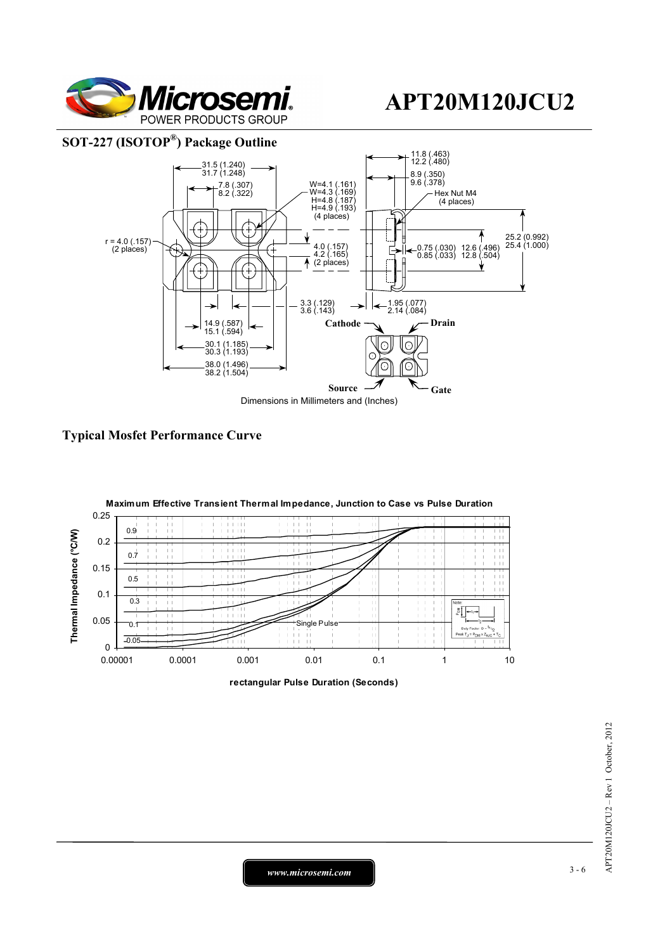

### **SOT-227 (ISOTOP®) Package Outline**



**Typical Mosfet Performance Curve** 



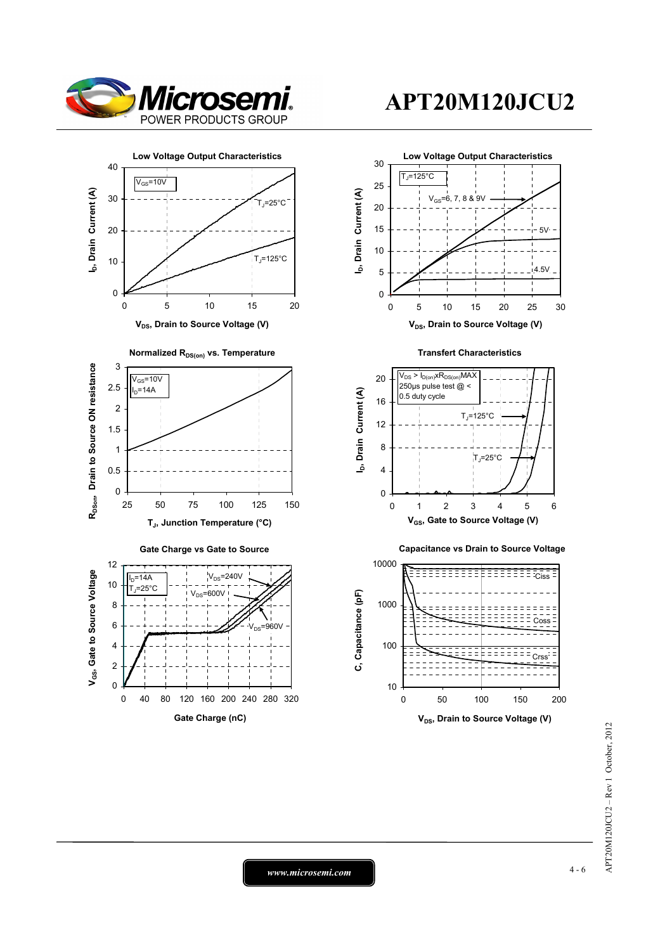



 $=960V$ 

0 40 80 120 160 200 240 280 320 **Gate Charge (nC)**

# **APT20M120JCU2**



 $AP$ T20M120JCU2 - Rev 1 October, 2012 APT20M120JCU2 – Rev 1 October, 2012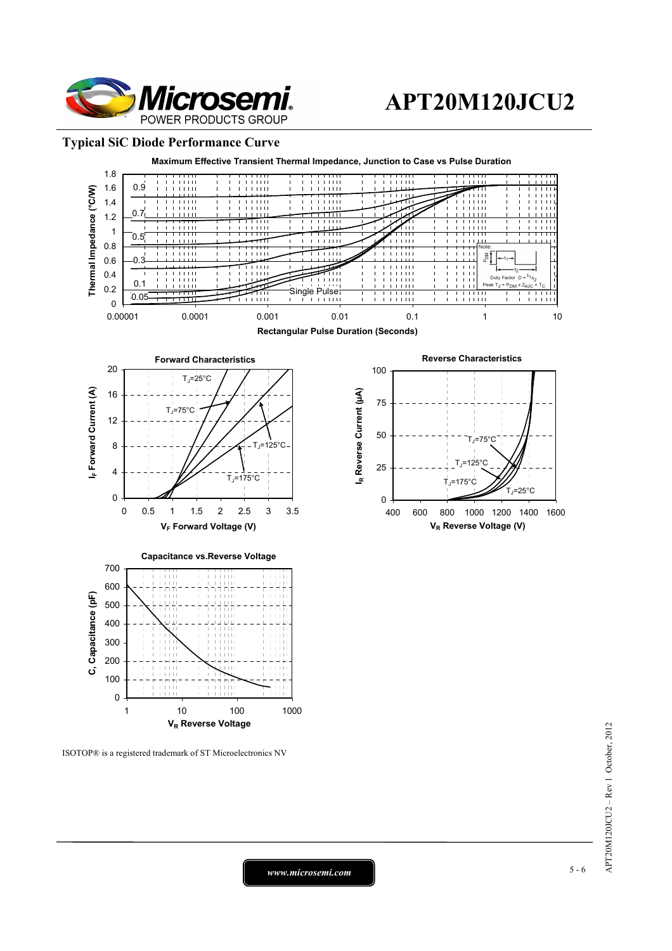

#### **Typical SiC Diode Performance Curve**



ISOTOP® is a registered trademark of ST Microelectronics NV

*www.microsemi.com* 5-6